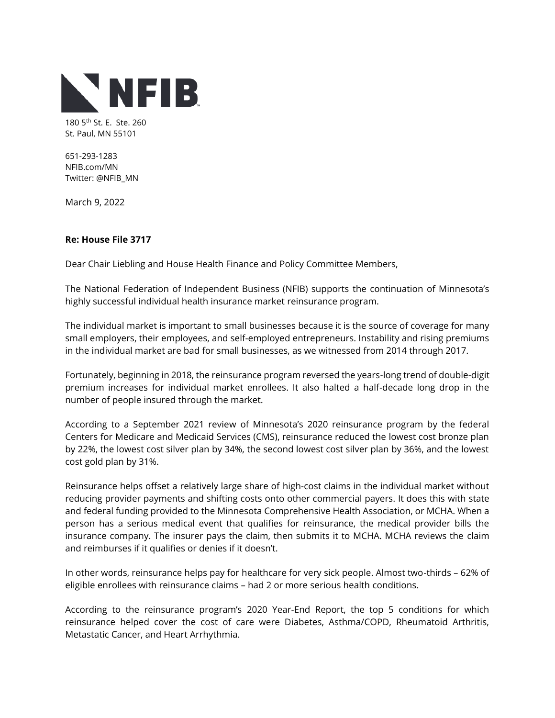

180 5<sup>th</sup> St. E. Ste. 260 St. Paul, MN 55101

651-293-1283 NFIB.com/MN Twitter: @NFIB\_MN

March 9, 2022

## **Re: House File 3717**

Dear Chair Liebling and House Health Finance and Policy Committee Members,

The National Federation of Independent Business (NFIB) supports the continuation of Minnesota's highly successful individual health insurance market reinsurance program.

The individual market is important to small businesses because it is the source of coverage for many small employers, their employees, and self-employed entrepreneurs. Instability and rising premiums in the individual market are bad for small businesses, as we witnessed from 2014 through 2017.

Fortunately, beginning in 2018, the reinsurance program reversed the years-long trend of double-digit premium increases for individual market enrollees. It also halted a half-decade long drop in the number of people insured through the market.

According to a September 2021 review of Minnesota's 2020 reinsurance program by the federal Centers for Medicare and Medicaid Services (CMS), reinsurance reduced the lowest cost bronze plan by 22%, the lowest cost silver plan by 34%, the second lowest cost silver plan by 36%, and the lowest cost gold plan by 31%.

Reinsurance helps offset a relatively large share of high-cost claims in the individual market without reducing provider payments and shifting costs onto other commercial payers. It does this with state and federal funding provided to the Minnesota Comprehensive Health Association, or MCHA. When a person has a serious medical event that qualifies for reinsurance, the medical provider bills the insurance company. The insurer pays the claim, then submits it to MCHA. MCHA reviews the claim and reimburses if it qualifies or denies if it doesn't.

In other words, reinsurance helps pay for healthcare for very sick people. Almost two-thirds – 62% of eligible enrollees with reinsurance claims – had 2 or more serious health conditions.

According to the reinsurance program's 2020 Year-End Report, the top 5 conditions for which reinsurance helped cover the cost of care were Diabetes, Asthma/COPD, Rheumatoid Arthritis, Metastatic Cancer, and Heart Arrhythmia.